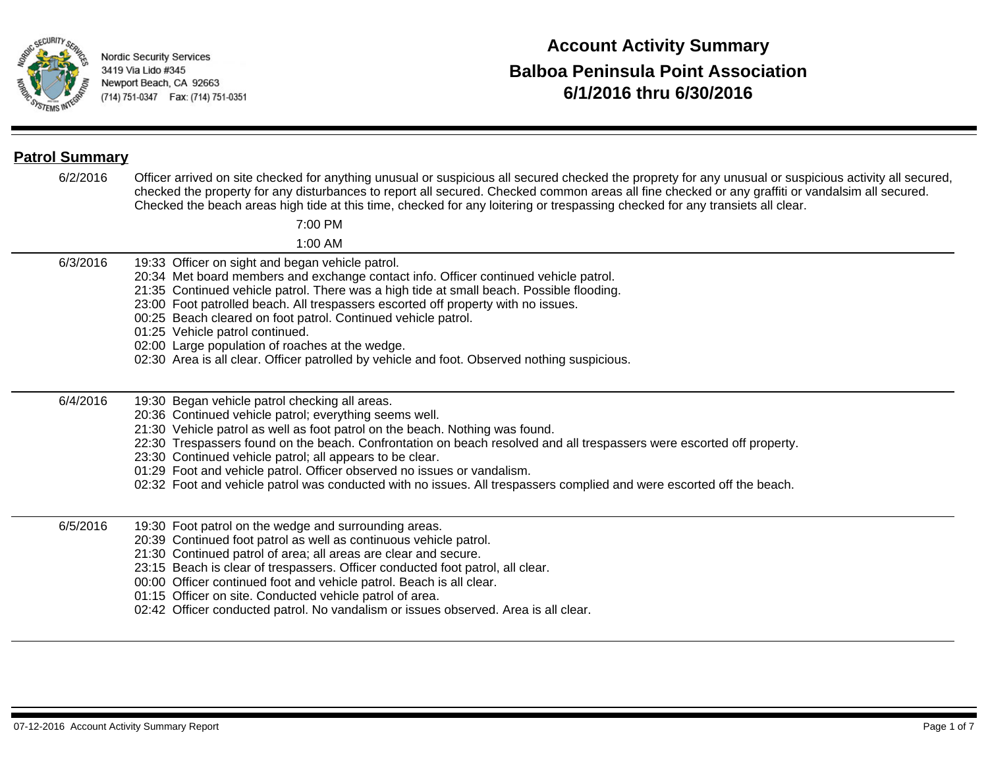

# **6/1/2016 thru 6/30/2016 Account Activity Summary Balboa Peninsula Point Association**

## **Patrol Summary**

6/2/2016 Officer arrived on site checked for anything unusual or suspicious all secured checked the proprety for any unusual or suspicious activity all secured, checked the property for any disturbances to report all secured. Checked common areas all fine checked or any graffiti or vandalsim all secured. Checked the beach areas high tide at this time, checked for any loitering or trespassing checked for any transiets all clear.

7:00 PM

1:00 AM

- 6/3/2016 19:33 Officer on sight and began vehicle patrol.
	- 20:34 Met board members and exchange contact info. Officer continued vehicle patrol.
	- 21:35 Continued vehicle patrol. There was a high tide at small beach. Possible flooding.
	- 23:00 Foot patrolled beach. All trespassers escorted off property with no issues.
	- 00:25 Beach cleared on foot patrol. Continued vehicle patrol.
	- 01:25 Vehicle patrol continued.
	- 02:00 Large population of roaches at the wedge.
	- 02:30 Area is all clear. Officer patrolled by vehicle and foot. Observed nothing suspicious.

6/4/2016 19:30 Began vehicle patrol checking all areas.

- 20:36 Continued vehicle patrol; everything seems well.
- 21:30 Vehicle patrol as well as foot patrol on the beach. Nothing was found.
- 22:30 Trespassers found on the beach. Confrontation on beach resolved and all trespassers were escorted off property.
- 23:30 Continued vehicle patrol; all appears to be clear.
- 01:29 Foot and vehicle patrol. Officer observed no issues or vandalism.
- 02:32 Foot and vehicle patrol was conducted with no issues. All trespassers complied and were escorted off the beach.

6/5/2016 19:30 Foot patrol on the wedge and surrounding areas.

- 20:39 Continued foot patrol as well as continuous vehicle patrol.
- 21:30 Continued patrol of area; all areas are clear and secure.
- 23:15 Beach is clear of trespassers. Officer conducted foot patrol, all clear.
- 00:00 Officer continued foot and vehicle patrol. Beach is all clear.
- 01:15 Officer on site. Conducted vehicle patrol of area.
- 02:42 Officer conducted patrol. No vandalism or issues observed. Area is all clear.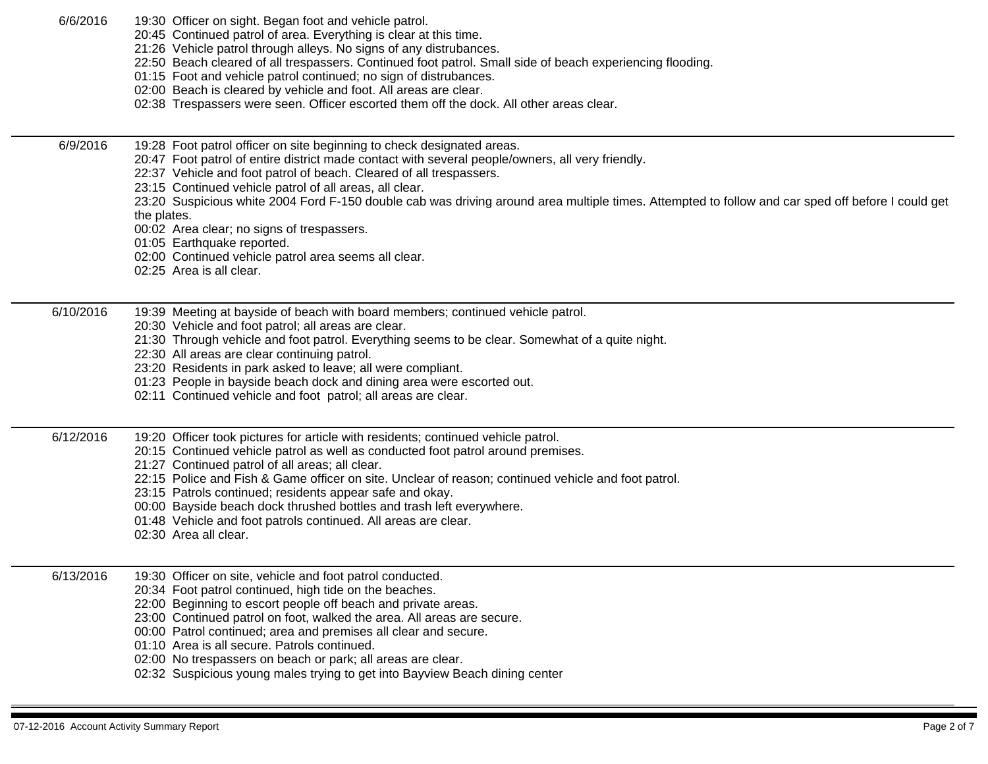- 6/6/2016 19:30 Officer on sight. Began foot and vehicle patrol.
	- 20:45 Continued patrol of area. Everything is clear at this time.
	- 21:26 Vehicle patrol through alleys. No signs of any distrubances.
	- 22:50 Beach cleared of all trespassers. Continued foot patrol. Small side of beach experiencing flooding.
	- 01:15 Foot and vehicle patrol continued; no sign of distrubances.
	- 02:00 Beach is cleared by vehicle and foot. All areas are clear.
	- 02:38 Trespassers were seen. Officer escorted them off the dock. All other areas clear.

6/9/2016 19:28 Foot patrol officer on site beginning to check designated areas.

- 20:47 Foot patrol of entire district made contact with several people/owners, all very friendly.
- 22:37 Vehicle and foot patrol of beach. Cleared of all trespassers.
- 23:15 Continued vehicle patrol of all areas, all clear.
- 23:20 Suspicious white 2004 Ford F-150 double cab was driving around area multiple times. Attempted to follow and car sped off before I could get the plates.
- 00:02 Area clear; no signs of trespassers.
- 01:05 Earthquake reported.
- 02:00 Continued vehicle patrol area seems all clear.
- 02:25 Area is all clear.

6/10/2016 19:39 Meeting at bayside of beach with board members; continued vehicle patrol.

- 20:30 Vehicle and foot patrol; all areas are clear.
- 21:30 Through vehicle and foot patrol. Everything seems to be clear. Somewhat of a quite night.
- 22:30 All areas are clear continuing patrol.
- 23:20 Residents in park asked to leave; all were compliant.
- 01:23 People in bayside beach dock and dining area were escorted out.
- 02:11 Continued vehicle and foot patrol; all areas are clear.

6/12/2016 19:20 Officer took pictures for article with residents; continued vehicle patrol.

- 20:15 Continued vehicle patrol as well as conducted foot patrol around premises.
- 21:27 Continued patrol of all areas; all clear.
- 22:15 Police and Fish & Game officer on site. Unclear of reason; continued vehicle and foot patrol.
- 23:15 Patrols continued; residents appear safe and okay.
- 00:00 Bayside beach dock thrushed bottles and trash left everywhere.
- 01:48 Vehicle and foot patrols continued. All areas are clear.
- 02:30 Area all clear.

## 6/13/2016 19:30 Officer on site, vehicle and foot patrol conducted.

- 20:34 Foot patrol continued, high tide on the beaches.
- 22:00 Beginning to escort people off beach and private areas.
- 23:00 Continued patrol on foot, walked the area. All areas are secure.
- 00:00 Patrol continued; area and premises all clear and secure.
- 01:10 Area is all secure. Patrols continued.
- 02:00 No trespassers on beach or park; all areas are clear.
- 02:32 Suspicious young males trying to get into Bayview Beach dining center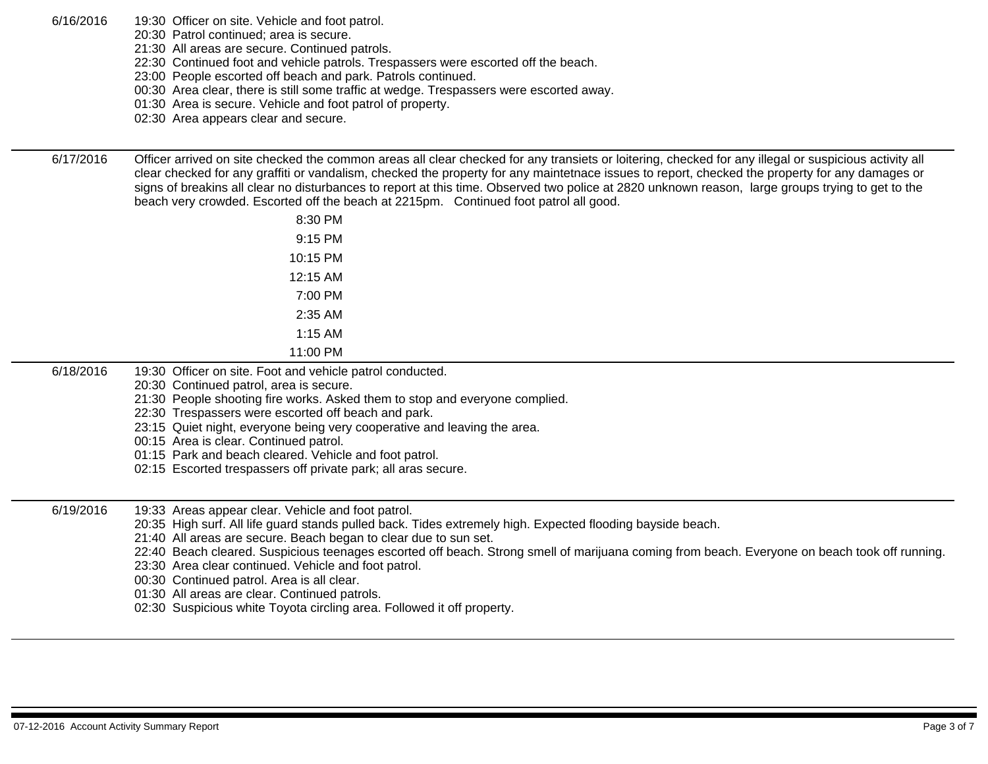6/16/2016 19:30 Officer on site. Vehicle and foot patrol.

- 20:30 Patrol continued; area is secure.
	- 21:30 All areas are secure. Continued patrols.
- 22:30 Continued foot and vehicle patrols. Trespassers were escorted off the beach.
- 23:00 People escorted off beach and park. Patrols continued.
- 00:30 Area clear, there is still some traffic at wedge. Trespassers were escorted away.
- 01:30 Area is secure. Vehicle and foot patrol of property.
- 02:30 Area appears clear and secure.

6/17/2016 Officer arrived on site checked the common areas all clear checked for any transiets or loitering, checked for any illegal or suspicious activity all clear checked for any graffiti or vandalism, checked the property for any maintetnace issues to report, checked the property for any damages or signs of breakins all clear no disturbances to report at this time. Observed two police at 2820 unknown reason, large groups trying to get to the beach very crowded. Escorted off the beach at 2215pm. Continued foot patrol all good.

| 8:30 PM  |  |
|----------|--|
| 9:15 PM  |  |
| 10:15 PM |  |
| 12:15 AM |  |
| 7:00 PM  |  |
| 2:35 AM  |  |
| 1:15 AM  |  |
| 11:00 PM |  |

- 6/18/2016 19:30 Officer on site. Foot and vehicle patrol conducted.
	- 20:30 Continued patrol, area is secure.
		- 21:30 People shooting fire works. Asked them to stop and everyone complied.
	- 22:30 Trespassers were escorted off beach and park.
	- 23:15 Quiet night, everyone being very cooperative and leaving the area.
	- 00:15 Area is clear. Continued patrol.
	- 01:15 Park and beach cleared. Vehicle and foot patrol.
	- 02:15 Escorted trespassers off private park; all aras secure.
- 6/19/2016 19:33 Areas appear clear. Vehicle and foot patrol.
	- 20:35 High surf. All life guard stands pulled back. Tides extremely high. Expected flooding bayside beach.
	- 21:40 All areas are secure. Beach began to clear due to sun set.
	- 22:40 Beach cleared. Suspicious teenages escorted off beach. Strong smell of marijuana coming from beach. Everyone on beach took off running.
	- 23:30 Area clear continued. Vehicle and foot patrol.
	- 00:30 Continued patrol. Area is all clear.
	- 01:30 All areas are clear. Continued patrols.
	- 02:30 Suspicious white Toyota circling area. Followed it off property.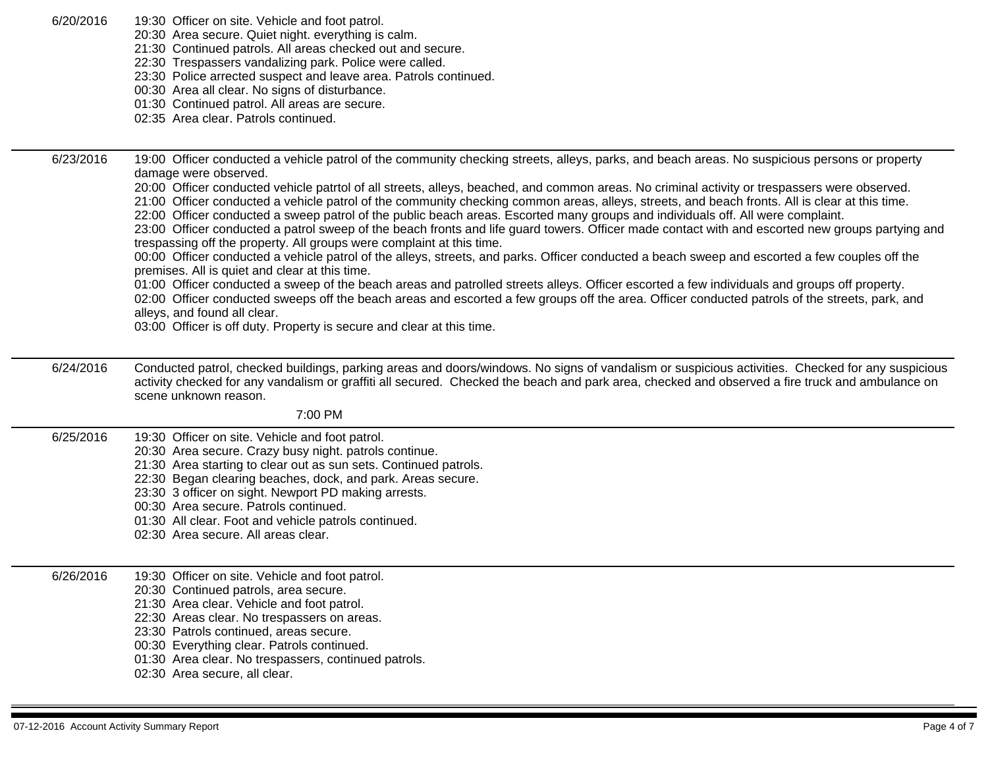| 6/20/2016 |  |  | 19:30 Officer on site. Vehicle and foot patrol. |
|-----------|--|--|-------------------------------------------------|
|-----------|--|--|-------------------------------------------------|

20:30 Area secure. Quiet night. everything is calm.

- 21:30 Continued patrols. All areas checked out and secure.
- 22:30 Trespassers vandalizing park. Police were called.
- 23:30 Police arrected suspect and leave area. Patrols continued.
- 00:30 Area all clear. No signs of disturbance.
- 01:30 Continued patrol. All areas are secure.
- 02:35 Area clear. Patrols continued.

6/23/2016 19:00 Officer conducted a vehicle patrol of the community checking streets, alleys, parks, and beach areas. No suspicious persons or property damage were observed. 20:00 Officer conducted vehicle patrtol of all streets, alleys, beached, and common areas. No criminal activity or trespassers were observed. 21:00 Officer conducted a vehicle patrol of the community checking common areas, alleys, streets, and beach fronts. All is clear at this time. 22:00 Officer conducted a sweep patrol of the public beach areas. Escorted many groups and individuals off. All were complaint. 23:00 Officer conducted a patrol sweep of the beach fronts and life guard towers. Officer made contact with and escorted new groups partying and trespassing off the property. All groups were complaint at this time. 00:00 Officer conducted a vehicle patrol of the alleys, streets, and parks. Officer conducted a beach sweep and escorted a few couples off the premises. All is quiet and clear at this time. 01:00 Officer conducted a sweep of the beach areas and patrolled streets alleys. Officer escorted a few individuals and groups off property. 02:00 Officer conducted sweeps off the beach areas and escorted a few groups off the area. Officer conducted patrols of the streets, park, and alleys, and found all clear.

03:00 Officer is off duty. Property is secure and clear at this time.

6/24/2016 Conducted patrol, checked buildings, parking areas and doors/windows. No signs of vandalism or suspicious activities. Checked for any suspicious activity checked for any vandalism or graffiti all secured. Checked the beach and park area, checked and observed a fire truck and ambulance on scene unknown reason.

7:00 PM

- 6/25/2016 19:30 Officer on site. Vehicle and foot patrol.
	- 20:30 Area secure. Crazy busy night. patrols continue.
		- 21:30 Area starting to clear out as sun sets. Continued patrols.
		- 22:30 Began clearing beaches, dock, and park. Areas secure.
		- 23:30 3 officer on sight. Newport PD making arrests.
		- 00:30 Area secure. Patrols continued.
		- 01:30 All clear. Foot and vehicle patrols continued.
	- 02:30 Area secure. All areas clear.

#### 6/26/2016 19:30 Officer on site. Vehicle and foot patrol.

- 20:30 Continued patrols, area secure.
- 21:30 Area clear. Vehicle and foot patrol.
- 22:30 Areas clear. No trespassers on areas.
- 23:30 Patrols continued, areas secure.
- 00:30 Everything clear. Patrols continued.
- 01:30 Area clear. No trespassers, continued patrols.
- 02:30 Area secure, all clear.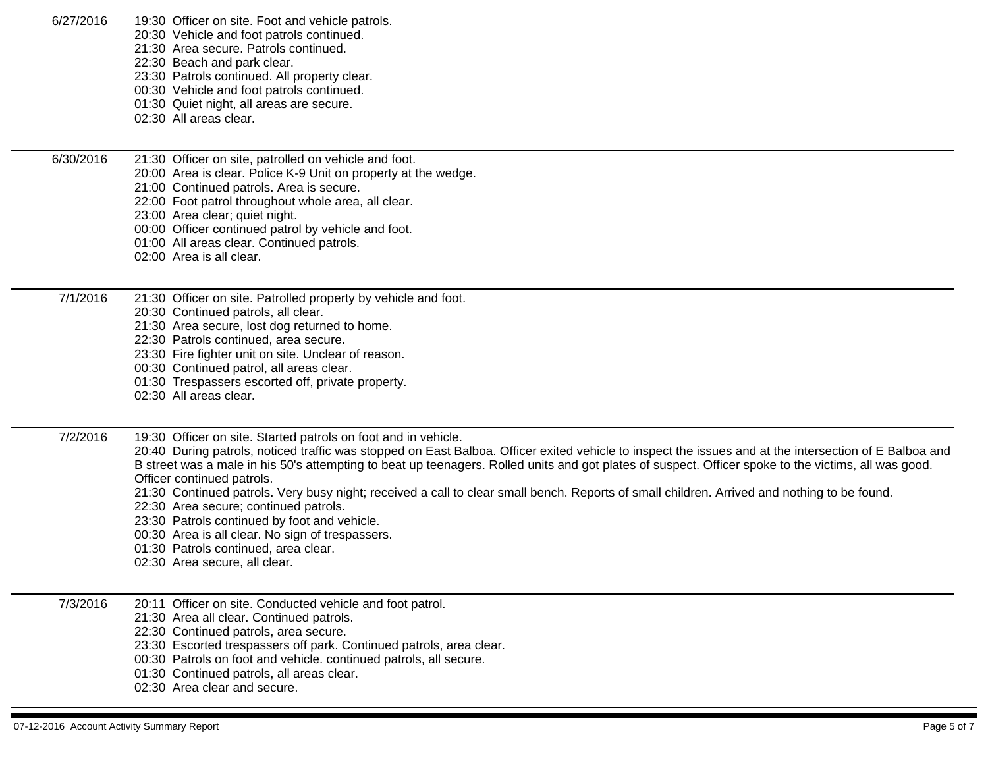| 6/27/2016 | 19:30 Officer on site. Foot and vehicle patrols.<br>20:30 Vehicle and foot patrols continued.<br>21:30 Area secure. Patrols continued.<br>22:30 Beach and park clear.<br>23:30 Patrols continued. All property clear.<br>00:30 Vehicle and foot patrols continued.<br>01:30 Quiet night, all areas are secure.<br>02:30 All areas clear.                                                                                                                                                                                                                                                                                                                                                                                                                                            |
|-----------|-------------------------------------------------------------------------------------------------------------------------------------------------------------------------------------------------------------------------------------------------------------------------------------------------------------------------------------------------------------------------------------------------------------------------------------------------------------------------------------------------------------------------------------------------------------------------------------------------------------------------------------------------------------------------------------------------------------------------------------------------------------------------------------|
| 6/30/2016 | 21:30 Officer on site, patrolled on vehicle and foot.<br>20:00 Area is clear. Police K-9 Unit on property at the wedge.<br>21:00 Continued patrols. Area is secure.<br>22:00 Foot patrol throughout whole area, all clear.<br>23:00 Area clear; quiet night.<br>00:00 Officer continued patrol by vehicle and foot.<br>01:00 All areas clear. Continued patrols.<br>02:00 Area is all clear.                                                                                                                                                                                                                                                                                                                                                                                        |
| 7/1/2016  | 21:30 Officer on site. Patrolled property by vehicle and foot.<br>20:30 Continued patrols, all clear.<br>21:30 Area secure, lost dog returned to home.<br>22:30 Patrols continued, area secure.<br>23:30 Fire fighter unit on site. Unclear of reason.<br>00:30 Continued patrol, all areas clear.<br>01:30 Trespassers escorted off, private property.<br>02:30 All areas clear.                                                                                                                                                                                                                                                                                                                                                                                                   |
| 7/2/2016  | 19:30 Officer on site. Started patrols on foot and in vehicle.<br>20:40 During patrols, noticed traffic was stopped on East Balboa. Officer exited vehicle to inspect the issues and at the intersection of E Balboa and<br>B street was a male in his 50's attempting to beat up teenagers. Rolled units and got plates of suspect. Officer spoke to the victims, all was good.<br>Officer continued patrols.<br>21:30 Continued patrols. Very busy night; received a call to clear small bench. Reports of small children. Arrived and nothing to be found.<br>22:30 Area secure; continued patrols.<br>23:30 Patrols continued by foot and vehicle.<br>00:30 Area is all clear. No sign of trespassers.<br>01:30 Patrols continued, area clear.<br>02:30 Area secure, all clear. |
| 7/3/2016  | 20:11 Officer on site. Conducted vehicle and foot patrol.<br>21:30 Area all clear. Continued patrols.<br>22:30 Continued patrols, area secure.<br>23:30 Escorted trespassers off park. Continued patrols, area clear.<br>00:30 Patrols on foot and vehicle. continued patrols, all secure.<br>01:30 Continued patrols, all areas clear.<br>02:30 Area clear and secure.                                                                                                                                                                                                                                                                                                                                                                                                             |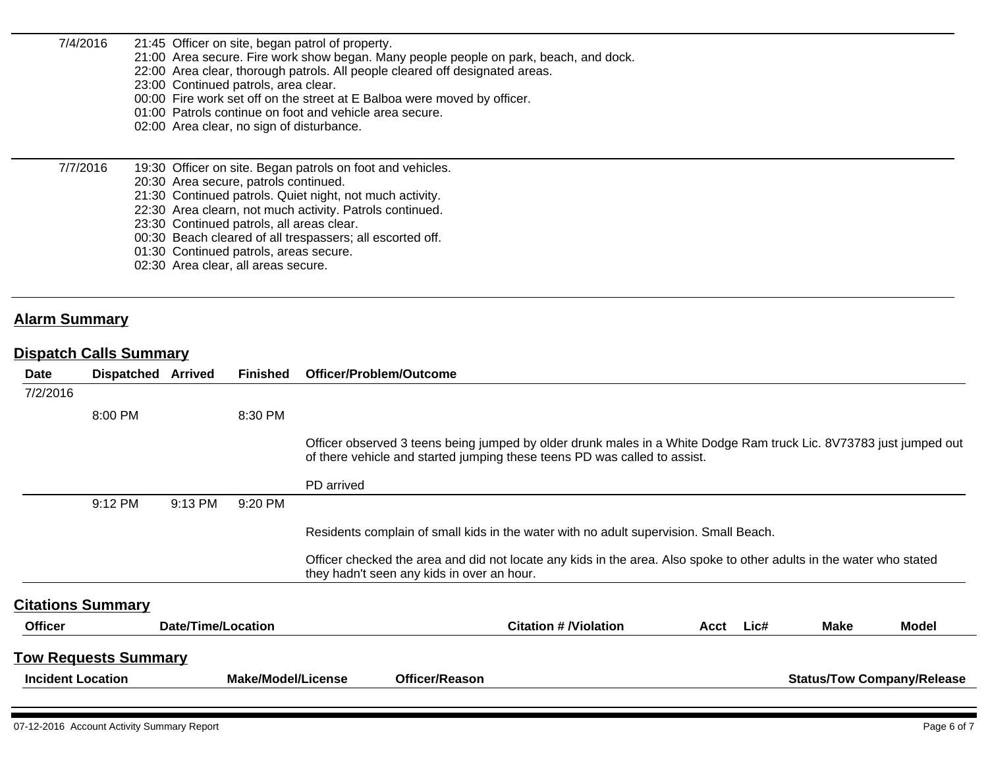| 7/4/2016                         |                               |         | 23:00 Continued patrols, area clear.<br>02:00 Area clear, no sign of disturbance.                                                                                   | 21:45 Officer on site, began patrol of property.<br>21:00 Area secure. Fire work show began. Many people people on park, beach, and dock.<br>22:00 Area clear, thorough patrols. All people cleared off designated areas.<br>00:00 Fire work set off on the street at E Balboa were moved by officer.<br>01:00 Patrols continue on foot and vehicle area secure. |
|----------------------------------|-------------------------------|---------|---------------------------------------------------------------------------------------------------------------------------------------------------------------------|------------------------------------------------------------------------------------------------------------------------------------------------------------------------------------------------------------------------------------------------------------------------------------------------------------------------------------------------------------------|
| 7/7/2016<br><b>Alarm Summary</b> |                               |         | 20:30 Area secure, patrols continued.<br>23:30 Continued patrols, all areas clear.<br>01:30 Continued patrols, areas secure.<br>02:30 Area clear, all areas secure. | 19:30 Officer on site. Began patrols on foot and vehicles.<br>21:30 Continued patrols. Quiet night, not much activity.<br>22:30 Area clearn, not much activity. Patrols continued.<br>00:30 Beach cleared of all trespassers; all escorted off.                                                                                                                  |
|                                  | <b>Dispatch Calls Summary</b> |         |                                                                                                                                                                     |                                                                                                                                                                                                                                                                                                                                                                  |
| Date                             | <b>Dispatched Arrived</b>     |         | <b>Finished</b>                                                                                                                                                     | Officer/Problem/Outcome                                                                                                                                                                                                                                                                                                                                          |
| 7/2/2016                         | 8:00 PM                       |         | 8:30 PM                                                                                                                                                             |                                                                                                                                                                                                                                                                                                                                                                  |
|                                  |                               |         |                                                                                                                                                                     | Officer observed 3 teens being jumped by older drunk males in a White Dodge Ram truck Lic. 8V73783 just jumped out<br>of there vehicle and started jumping these teens PD was called to assist.                                                                                                                                                                  |
|                                  |                               |         |                                                                                                                                                                     | PD arrived                                                                                                                                                                                                                                                                                                                                                       |
|                                  | 9:12 PM                       | 9:13 PM | 9:20 PM                                                                                                                                                             |                                                                                                                                                                                                                                                                                                                                                                  |
|                                  |                               |         |                                                                                                                                                                     | Residents complain of small kids in the water with no adult supervision. Small Beach.                                                                                                                                                                                                                                                                            |

Officer checked the area and did not locate any kids in the area. Also spoke to other adults in the water who stated they hadn't seen any kids in over an hour.

| <b>Officer</b>              | Date/Time/Location |                | <b>Citation # /Violation</b> | Acct | Lic# | <b>Make</b> | <b>Model</b>                      |
|-----------------------------|--------------------|----------------|------------------------------|------|------|-------------|-----------------------------------|
| <b>Tow Requests Summary</b> |                    |                |                              |      |      |             |                                   |
| <b>Incident Location</b>    | Make/Model/License | Officer/Reason |                              |      |      |             | <b>Status/Tow Company/Release</b> |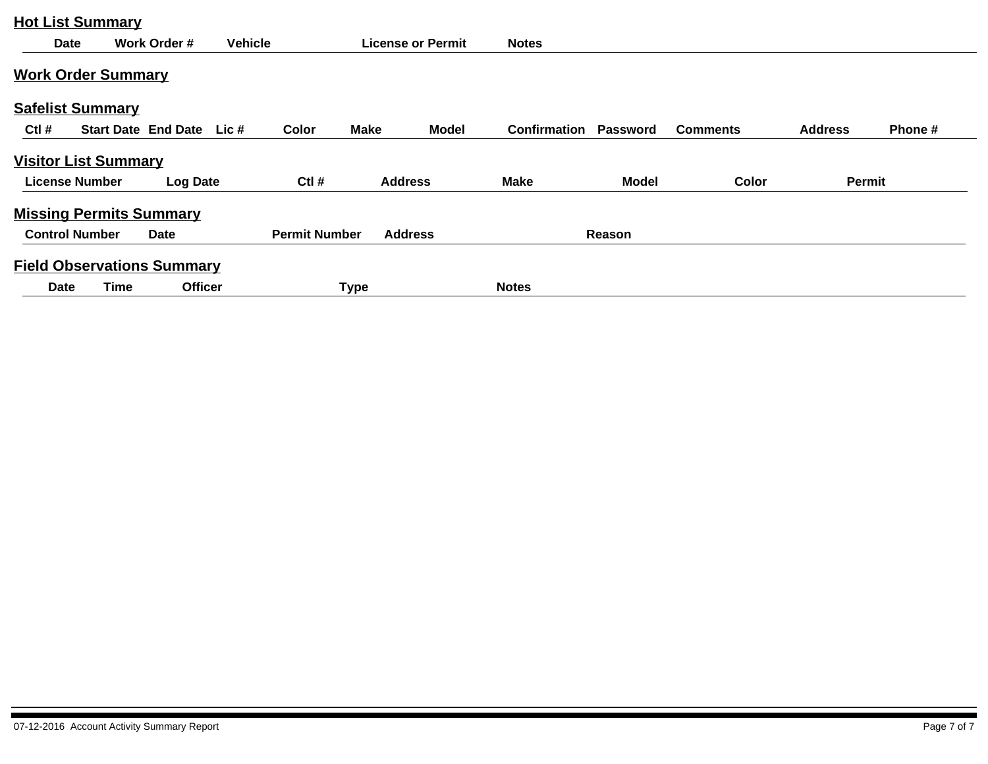| <b>Hot List Summary</b>           |      |                           |                |                      |             |                          |              |                 |                 |                |         |
|-----------------------------------|------|---------------------------|----------------|----------------------|-------------|--------------------------|--------------|-----------------|-----------------|----------------|---------|
| <b>Date</b>                       |      | Work Order #              | <b>Vehicle</b> |                      |             | <b>License or Permit</b> | <b>Notes</b> |                 |                 |                |         |
| <b>Work Order Summary</b>         |      |                           |                |                      |             |                          |              |                 |                 |                |         |
| <b>Safelist Summary</b>           |      |                           |                |                      |             |                          |              |                 |                 |                |         |
| $Ctl$ #                           |      | Start Date End Date Lic # |                | Color                | <b>Make</b> | <b>Model</b>             | Confirmation | <b>Password</b> | <b>Comments</b> | <b>Address</b> | Phone # |
| <b>Visitor List Summary</b>       |      |                           |                |                      |             |                          |              |                 |                 |                |         |
| <b>License Number</b>             |      | Log Date                  |                | $Ctl$ #              |             | <b>Address</b>           | <b>Make</b>  | <b>Model</b>    | Color           | Permit         |         |
| <b>Missing Permits Summary</b>    |      |                           |                |                      |             |                          |              |                 |                 |                |         |
| <b>Control Number</b>             |      | Date                      |                | <b>Permit Number</b> |             | <b>Address</b>           |              | Reason          |                 |                |         |
| <b>Field Observations Summary</b> |      |                           |                |                      |             |                          |              |                 |                 |                |         |
| Date                              | Time | <b>Officer</b>            |                |                      | <b>Type</b> |                          | <b>Notes</b> |                 |                 |                |         |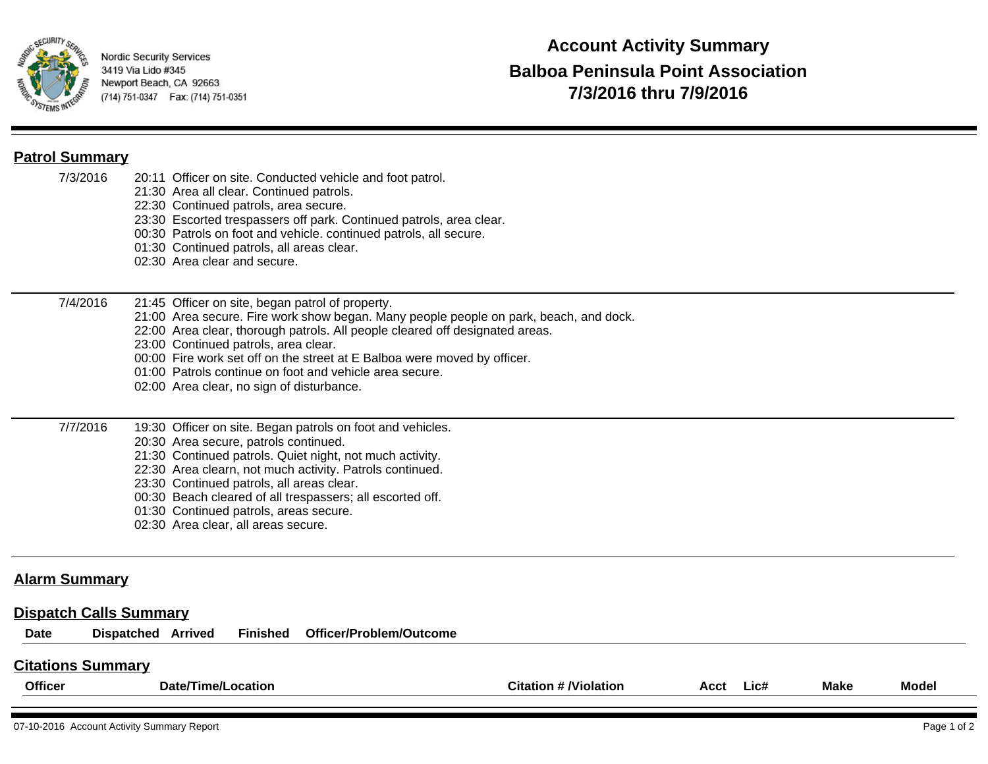

## **Patrol Summary**

| <b>Citations Summary</b>                                      |                                                                                                                                                                                                                                                                                                                                                                                                                                                       |
|---------------------------------------------------------------|-------------------------------------------------------------------------------------------------------------------------------------------------------------------------------------------------------------------------------------------------------------------------------------------------------------------------------------------------------------------------------------------------------------------------------------------------------|
| <b>Alarm Summary</b><br><b>Dispatch Calls Summary</b><br>Date | <b>Dispatched Arrived</b><br>Officer/Problem/Outcome<br><b>Finished</b>                                                                                                                                                                                                                                                                                                                                                                               |
| 7/7/2016                                                      | 19:30 Officer on site. Began patrols on foot and vehicles.<br>20:30 Area secure, patrols continued.<br>21:30 Continued patrols. Quiet night, not much activity.<br>22:30 Area clearn, not much activity. Patrols continued.<br>23:30 Continued patrols, all areas clear.<br>00:30 Beach cleared of all trespassers; all escorted off.<br>01:30 Continued patrols, areas secure.<br>02:30 Area clear, all areas secure.                                |
| 7/4/2016                                                      | 21:45 Officer on site, began patrol of property.<br>21:00 Area secure. Fire work show began. Many people people on park, beach, and dock.<br>22:00 Area clear, thorough patrols. All people cleared off designated areas.<br>23:00 Continued patrols, area clear.<br>00:00 Fire work set off on the street at E Balboa were moved by officer.<br>01:00 Patrols continue on foot and vehicle area secure.<br>02:00 Area clear, no sign of disturbance. |
| 7/3/2016                                                      | 20:11 Officer on site. Conducted vehicle and foot patrol.<br>21:30 Area all clear. Continued patrols.<br>22:30 Continued patrols, area secure.<br>23:30 Escorted trespassers off park. Continued patrols, area clear.<br>00:30 Patrols on foot and vehicle. continued patrols, all secure.<br>01:30 Continued patrols, all areas clear.<br>02:30 Area clear and secure.                                                                               |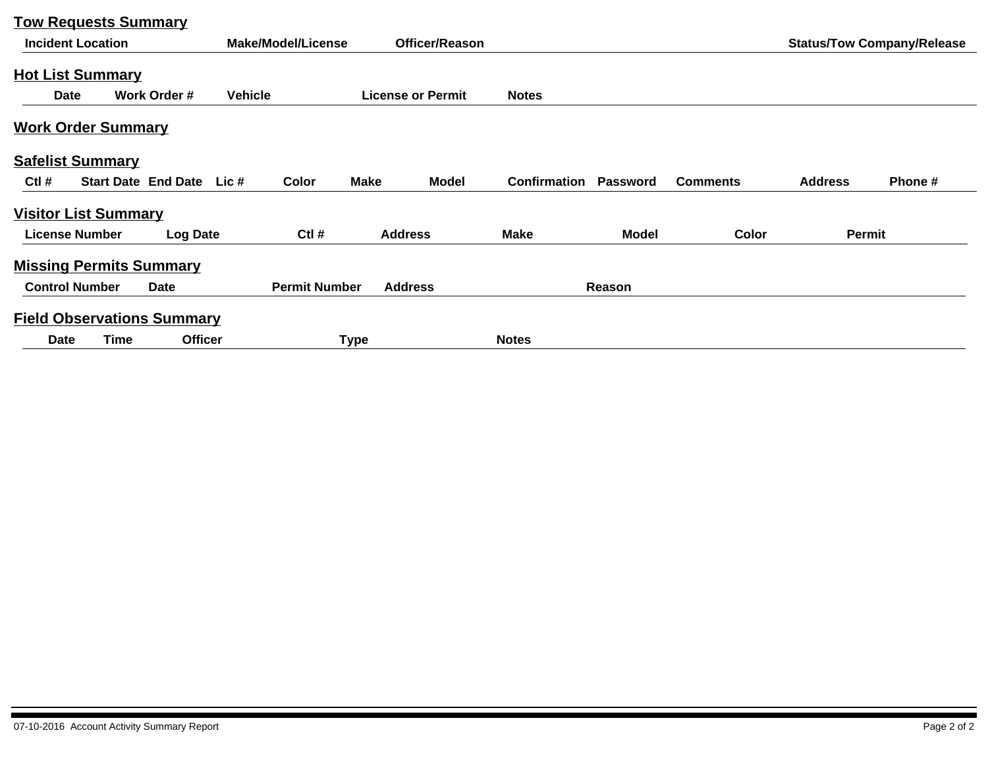|                       | <b>Tow Requests Summary</b>       |                           |                |                      |             |                          |              |                 |                 |                |                                   |
|-----------------------|-----------------------------------|---------------------------|----------------|----------------------|-------------|--------------------------|--------------|-----------------|-----------------|----------------|-----------------------------------|
|                       | <b>Incident Location</b>          |                           |                | Make/Model/License   |             | <b>Officer/Reason</b>    |              |                 |                 |                | <b>Status/Tow Company/Release</b> |
|                       | <b>Hot List Summary</b>           |                           |                |                      |             |                          |              |                 |                 |                |                                   |
| Date                  |                                   | Work Order #              | <b>Vehicle</b> |                      |             | <b>License or Permit</b> | <b>Notes</b> |                 |                 |                |                                   |
|                       | <b>Work Order Summary</b>         |                           |                |                      |             |                          |              |                 |                 |                |                                   |
|                       | <b>Safelist Summary</b>           |                           |                |                      |             |                          |              |                 |                 |                |                                   |
| $Ctl$ #               |                                   | Start Date End Date Lic # |                | Color                | <b>Make</b> | <b>Model</b>             | Confirmation | <b>Password</b> | <b>Comments</b> | <b>Address</b> | Phone#                            |
|                       | <b>Visitor List Summary</b>       |                           |                |                      |             |                          |              |                 |                 |                |                                   |
|                       | <b>License Number</b>             | <b>Log Date</b>           |                | $Ctl$ #              |             | <b>Address</b>           | <b>Make</b>  | <b>Model</b>    | Color           | Permit         |                                   |
|                       | <b>Missing Permits Summary</b>    |                           |                |                      |             |                          |              |                 |                 |                |                                   |
| <b>Control Number</b> |                                   | Date                      |                | <b>Permit Number</b> |             | <b>Address</b>           |              | Reason          |                 |                |                                   |
|                       | <b>Field Observations Summary</b> |                           |                |                      |             |                          |              |                 |                 |                |                                   |
| Date                  | Time                              | <b>Officer</b>            |                |                      | Type        |                          | <b>Notes</b> |                 |                 |                |                                   |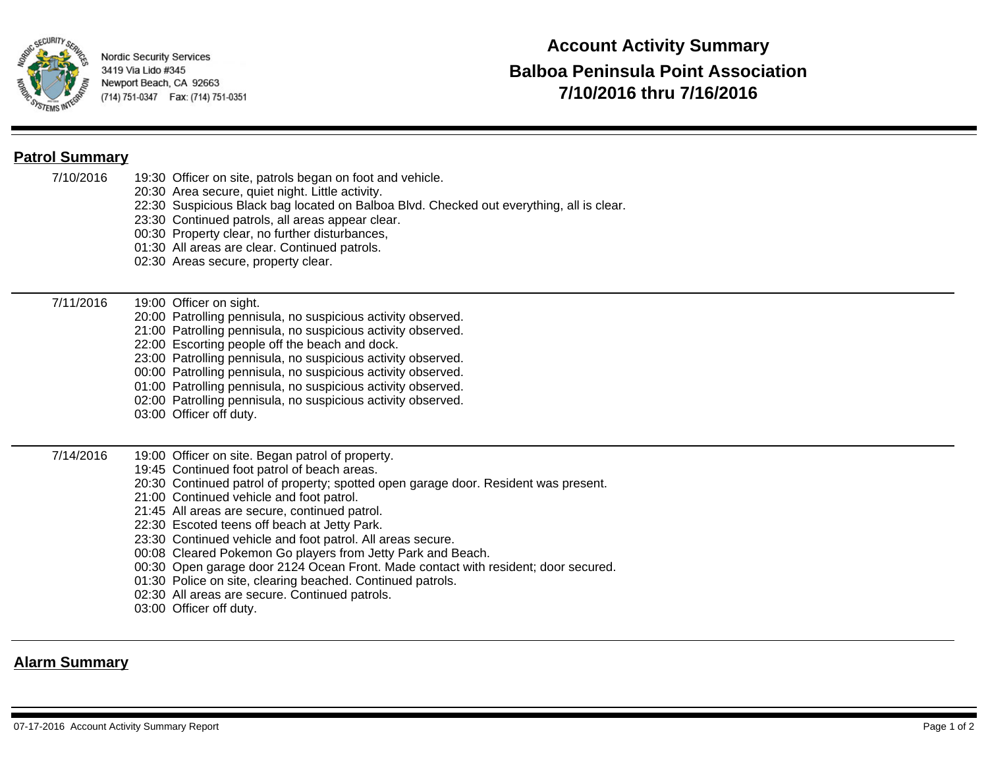

## **Patrol Summary**

| 7/10/2016 | 19:30 Officer on site, patrols began on foot and vehicle.<br>20:30 Area secure, quiet night. Little activity.<br>22:30 Suspicious Black bag located on Balboa Blvd. Checked out everything, all is clear.<br>23:30 Continued patrols, all areas appear clear.<br>00:30 Property clear, no further disturbances,<br>01:30 All areas are clear. Continued patrols.<br>02:30 Areas secure, property clear.                                                                                                                                                                                                                                                                                           |
|-----------|---------------------------------------------------------------------------------------------------------------------------------------------------------------------------------------------------------------------------------------------------------------------------------------------------------------------------------------------------------------------------------------------------------------------------------------------------------------------------------------------------------------------------------------------------------------------------------------------------------------------------------------------------------------------------------------------------|
| 7/11/2016 | 19:00 Officer on sight.<br>20:00 Patrolling pennisula, no suspicious activity observed.<br>21:00 Patrolling pennisula, no suspicious activity observed.<br>22:00 Escorting people off the beach and dock.<br>23:00 Patrolling pennisula, no suspicious activity observed.<br>00:00 Patrolling pennisula, no suspicious activity observed.<br>01:00 Patrolling pennisula, no suspicious activity observed.<br>02:00 Patrolling pennisula, no suspicious activity observed.<br>03:00 Officer off duty.                                                                                                                                                                                              |
| 7/14/2016 | 19:00 Officer on site. Began patrol of property.<br>19:45 Continued foot patrol of beach areas.<br>20:30 Continued patrol of property; spotted open garage door. Resident was present.<br>21:00 Continued vehicle and foot patrol.<br>21:45 All areas are secure, continued patrol.<br>22:30 Escoted teens off beach at Jetty Park.<br>23:30 Continued vehicle and foot patrol. All areas secure.<br>00:08 Cleared Pokemon Go players from Jetty Park and Beach.<br>00:30 Open garage door 2124 Ocean Front. Made contact with resident; door secured.<br>01:30 Police on site, clearing beached. Continued patrols.<br>02:30 All areas are secure. Continued patrols.<br>03:00 Officer off duty. |

## **Alarm Summary**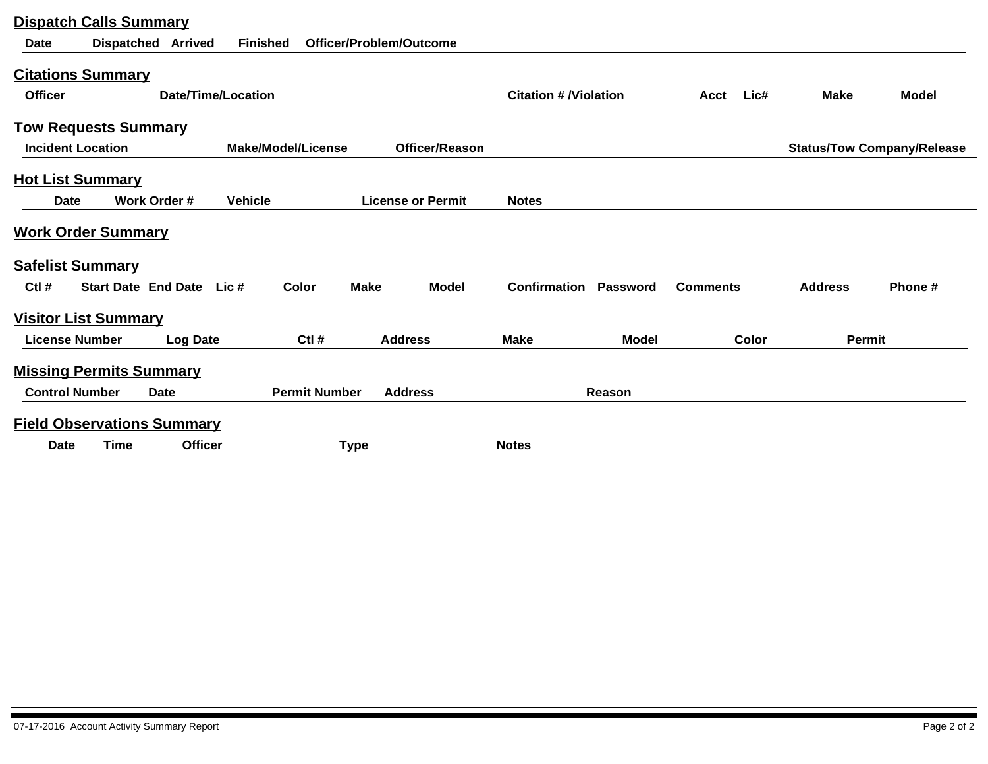| <b>Dispatch Calls Summary</b> |                                   |                           |                           |                         |                          |                              |                 |                 |       |                |                                   |
|-------------------------------|-----------------------------------|---------------------------|---------------------------|-------------------------|--------------------------|------------------------------|-----------------|-----------------|-------|----------------|-----------------------------------|
| <b>Date</b>                   | <b>Dispatched Arrived</b>         | <b>Finished</b>           |                           | Officer/Problem/Outcome |                          |                              |                 |                 |       |                |                                   |
| <b>Citations Summary</b>      |                                   |                           |                           |                         |                          |                              |                 |                 |       |                |                                   |
| <b>Officer</b>                |                                   | <b>Date/Time/Location</b> |                           |                         |                          | <b>Citation # /Violation</b> |                 | Acct            | Lic#  | <b>Make</b>    | <b>Model</b>                      |
| <b>Tow Requests Summary</b>   |                                   |                           |                           |                         |                          |                              |                 |                 |       |                |                                   |
| <b>Incident Location</b>      |                                   |                           | <b>Make/Model/License</b> |                         | <b>Officer/Reason</b>    |                              |                 |                 |       |                | <b>Status/Tow Company/Release</b> |
| <b>Hot List Summary</b>       |                                   |                           |                           |                         |                          |                              |                 |                 |       |                |                                   |
| <b>Date</b>                   | Work Order #                      | <b>Vehicle</b>            |                           |                         | <b>License or Permit</b> | <b>Notes</b>                 |                 |                 |       |                |                                   |
| <b>Work Order Summary</b>     |                                   |                           |                           |                         |                          |                              |                 |                 |       |                |                                   |
| <b>Safelist Summary</b>       |                                   |                           |                           |                         |                          |                              |                 |                 |       |                |                                   |
| $Ctl$ #                       | Start Date End Date Lic #         |                           | Color                     | <b>Make</b>             | <b>Model</b>             | <b>Confirmation</b>          | <b>Password</b> | <b>Comments</b> |       | <b>Address</b> | Phone#                            |
| <b>Visitor List Summary</b>   |                                   |                           |                           |                         |                          |                              |                 |                 |       |                |                                   |
| <b>License Number</b>         | <b>Log Date</b>                   |                           | $Ctl$ #                   |                         | <b>Address</b>           | <b>Make</b>                  | <b>Model</b>    |                 | Color | Permit         |                                   |
|                               | <b>Missing Permits Summary</b>    |                           |                           |                         |                          |                              |                 |                 |       |                |                                   |
| <b>Control Number</b>         | <b>Date</b>                       |                           | <b>Permit Number</b>      |                         | <b>Address</b>           |                              | Reason          |                 |       |                |                                   |
|                               | <b>Field Observations Summary</b> |                           |                           |                         |                          |                              |                 |                 |       |                |                                   |
| <b>Date</b>                   | Time                              | Officer                   |                           | <b>Type</b>             |                          | <b>Notes</b>                 |                 |                 |       |                |                                   |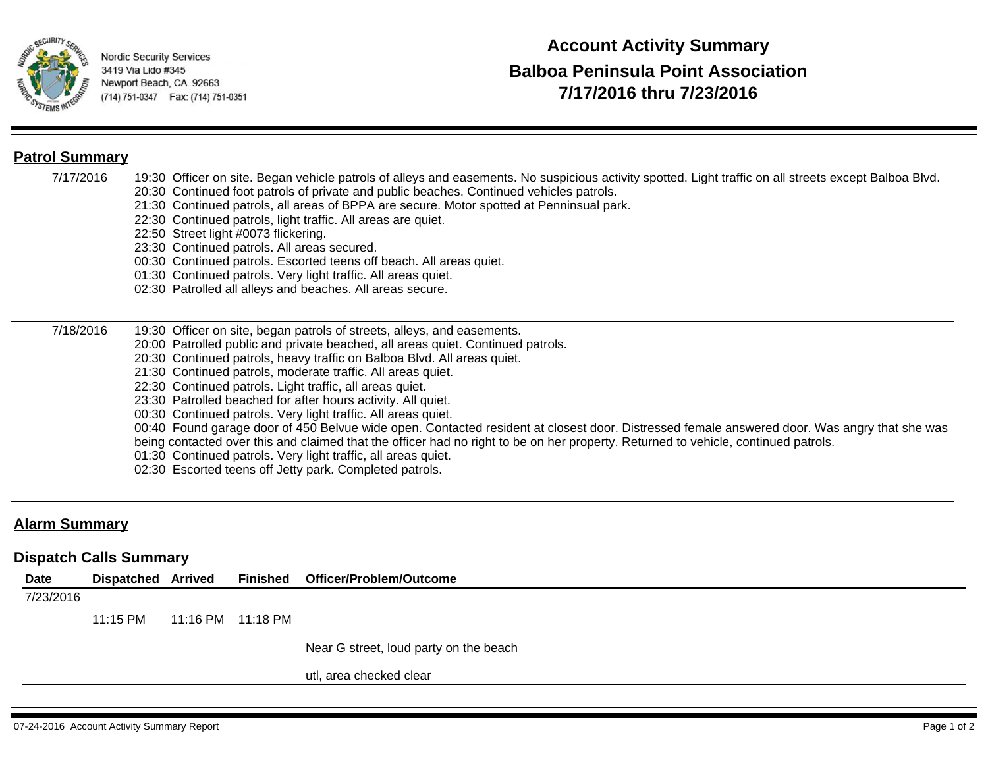

### **Patrol Summary**

- 7/17/2016 19:30 Officer on site. Began vehicle patrols of alleys and easements. No suspicious activity spotted. Light traffic on all streets except Balboa Blvd.
	- 20:30 Continued foot patrols of private and public beaches. Continued vehicles patrols.
	- 21:30 Continued patrols, all areas of BPPA are secure. Motor spotted at Penninsual park.
	- 22:30 Continued patrols, light traffic. All areas are quiet.
	- 22:50 Street light #0073 flickering.
	- 23:30 Continued patrols. All areas secured.
	- 00:30 Continued patrols. Escorted teens off beach. All areas quiet.
	- 01:30 Continued patrols. Very light traffic. All areas quiet.
	- 02:30 Patrolled all alleys and beaches. All areas secure.

#### 7/18/2016 19:30 Officer on site, began patrols of streets, alleys, and easements.

- 20:00 Patrolled public and private beached, all areas quiet. Continued patrols.
- 20:30 Continued patrols, heavy traffic on Balboa Blvd. All areas quiet.
- 21:30 Continued patrols, moderate traffic. All areas quiet.
- 22:30 Continued patrols. Light traffic, all areas quiet.
- 23:30 Patrolled beached for after hours activity. All quiet.
- 00:30 Continued patrols. Very light traffic. All areas quiet.
- 00:40 Found garage door of 450 Belvue wide open. Contacted resident at closest door. Distressed female answered door. Was angry that she was
- being contacted over this and claimed that the officer had no right to be on her property. Returned to vehicle, continued patrols.
- 01:30 Continued patrols. Very light traffic, all areas quiet.
- 02:30 Escorted teens off Jetty park. Completed patrols.

## **Alarm Summary**

## **Dispatch Calls Summary**

| Date      | <b>Dispatched Arrived</b> |  | Finished Officer/Problem/Outcome       |
|-----------|---------------------------|--|----------------------------------------|
| 7/23/2016 |                           |  |                                        |
|           | 11:15 PM                  |  |                                        |
|           |                           |  | Near G street, loud party on the beach |
|           |                           |  | utl, area checked clear                |
|           |                           |  |                                        |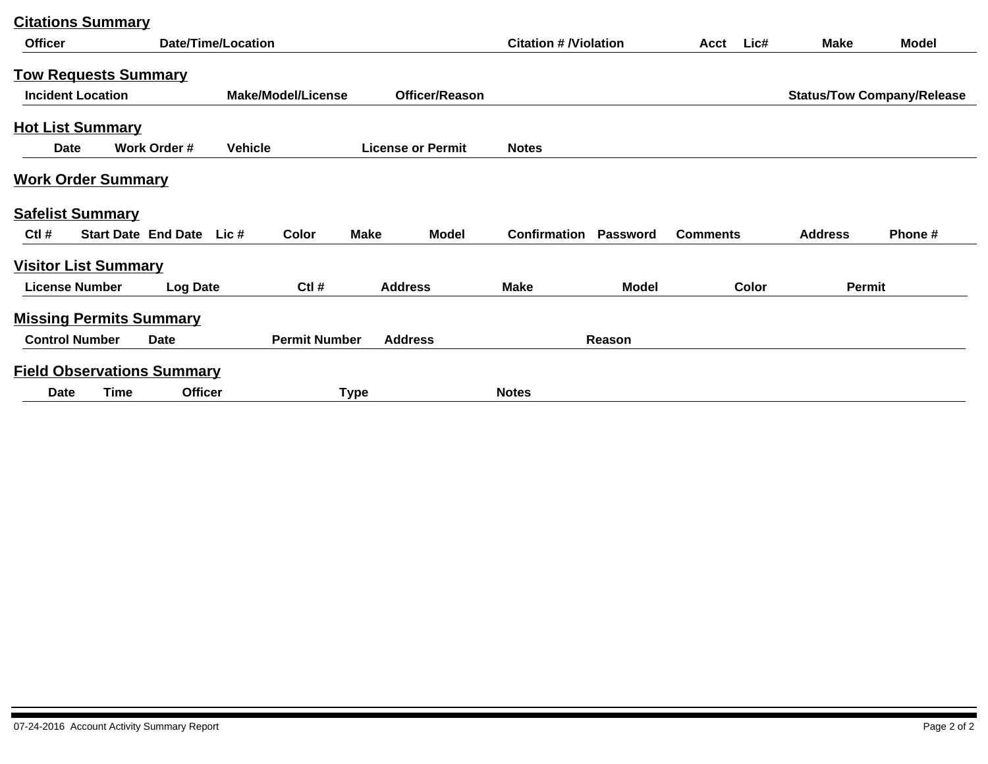| <b>Officer</b>              |                          |                                   | <b>Date/Time/Location</b> |                           |             |                          | <b>Citation # /Violation</b> |              | Acct            | Lic#  | <b>Make</b>    | <b>Model</b>                      |
|-----------------------------|--------------------------|-----------------------------------|---------------------------|---------------------------|-------------|--------------------------|------------------------------|--------------|-----------------|-------|----------------|-----------------------------------|
|                             |                          | <b>Tow Requests Summary</b>       |                           |                           |             |                          |                              |              |                 |       |                |                                   |
|                             | <b>Incident Location</b> |                                   |                           | <b>Make/Model/License</b> |             | <b>Officer/Reason</b>    |                              |              |                 |       |                | <b>Status/Tow Company/Release</b> |
| <b>Hot List Summary</b>     |                          |                                   |                           |                           |             |                          |                              |              |                 |       |                |                                   |
| Date                        |                          | Work Order #                      | <b>Vehicle</b>            |                           |             | <b>License or Permit</b> | <b>Notes</b>                 |              |                 |       |                |                                   |
| <b>Work Order Summary</b>   |                          |                                   |                           |                           |             |                          |                              |              |                 |       |                |                                   |
| <b>Safelist Summary</b>     |                          |                                   |                           |                           |             |                          |                              |              |                 |       |                |                                   |
| $Ctl$ #                     |                          | Start Date End Date Lic #         |                           | Color                     | <b>Make</b> | <b>Model</b>             | Confirmation                 | Password     | <b>Comments</b> |       | <b>Address</b> | Phone#                            |
| <b>Visitor List Summary</b> |                          |                                   |                           |                           |             |                          |                              |              |                 |       |                |                                   |
|                             | <b>License Number</b>    | <b>Log Date</b>                   |                           | $Ctl$ #                   |             | <b>Address</b>           | <b>Make</b>                  | <b>Model</b> |                 | Color | Permit         |                                   |
|                             |                          | <b>Missing Permits Summary</b>    |                           |                           |             |                          |                              |              |                 |       |                |                                   |
|                             | <b>Control Number</b>    | Date                              |                           | <b>Permit Number</b>      |             | <b>Address</b>           |                              | Reason       |                 |       |                |                                   |
|                             |                          | <b>Field Observations Summary</b> |                           |                           |             |                          |                              |              |                 |       |                |                                   |
| Date                        | <b>Time</b>              | <b>Officer</b>                    |                           |                           | <b>Type</b> |                          | <b>Notes</b>                 |              |                 |       |                |                                   |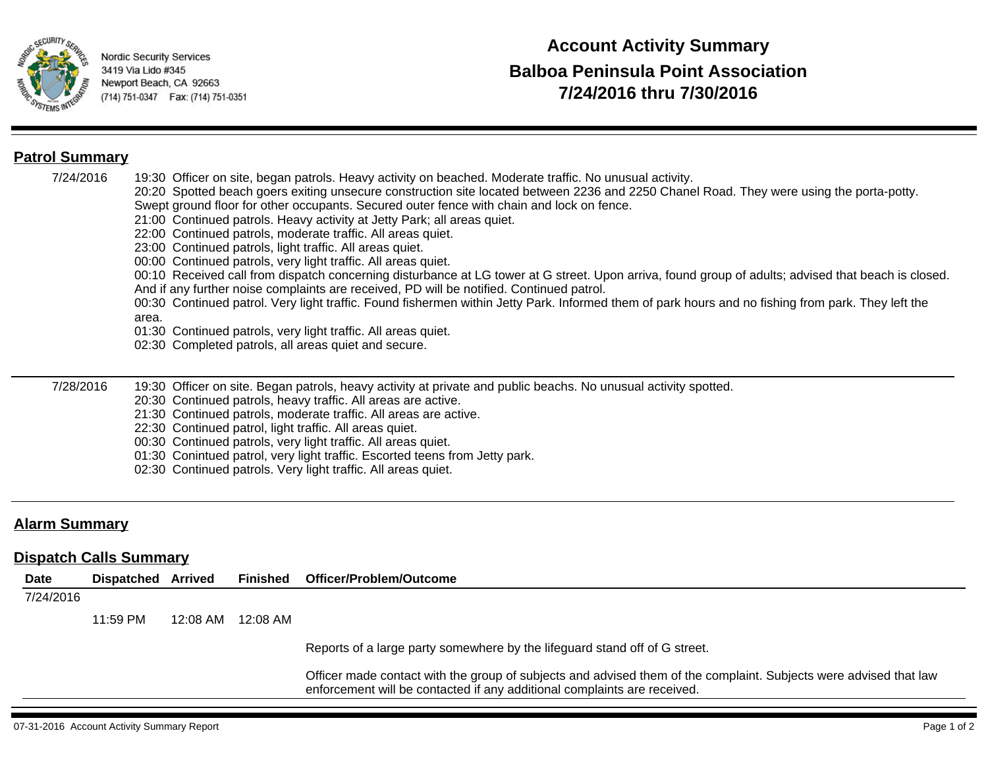

## **Patrol Summary**

7/24/2016 19:30 Officer on site, began patrols. Heavy activity on beached. Moderate traffic. No unusual activity. 20:20 Spotted beach goers exiting unsecure construction site located between 2236 and 2250 Chanel Road. They were using the porta-potty. Swept ground floor for other occupants. Secured outer fence with chain and lock on fence. 21:00 Continued patrols. Heavy activity at Jetty Park; all areas quiet.

- 22:00 Continued patrols, moderate traffic. All areas quiet.
- 23:00 Continued patrols, light traffic. All areas quiet.
- 00:00 Continued patrols, very light traffic. All areas quiet.

00:10 Received call from dispatch concerning disturbance at LG tower at G street. Upon arriva, found group of adults; advised that beach is closed. And if any further noise complaints are received, PD will be notified. Continued patrol.

00:30 Continued patrol. Very light traffic. Found fishermen within Jetty Park. Informed them of park hours and no fishing from park. They left the area.

01:30 Continued patrols, very light traffic. All areas quiet.

02:30 Completed patrols, all areas quiet and secure.

7/28/2016 19:30 Officer on site. Began patrols, heavy activity at private and public beachs. No unusual activity spotted.

20:30 Continued patrols, heavy traffic. All areas are active.

- 21:30 Continued patrols, moderate traffic. All areas are active.
- 22:30 Continued patrol, light traffic. All areas quiet.
- 00:30 Continued patrols, very light traffic. All areas quiet.
- 01:30 Conintued patrol, very light traffic. Escorted teens from Jetty park.
- 02:30 Continued patrols. Very light traffic. All areas quiet.

## **Alarm Summary**

## **Dispatch Calls Summary**

| Date      | <b>Dispatched Arrived</b> |          | Finished | Officer/Problem/Outcome                                                                                                                                                                       |
|-----------|---------------------------|----------|----------|-----------------------------------------------------------------------------------------------------------------------------------------------------------------------------------------------|
| 7/24/2016 |                           |          |          |                                                                                                                                                                                               |
|           | 11:59 PM                  | 12:08 AM | 12:08 AM |                                                                                                                                                                                               |
|           |                           |          |          | Reports of a large party somewhere by the lifeguard stand off of G street.                                                                                                                    |
|           |                           |          |          | Officer made contact with the group of subjects and advised them of the complaint. Subjects were advised that law<br>enforcement will be contacted if any additional complaints are received. |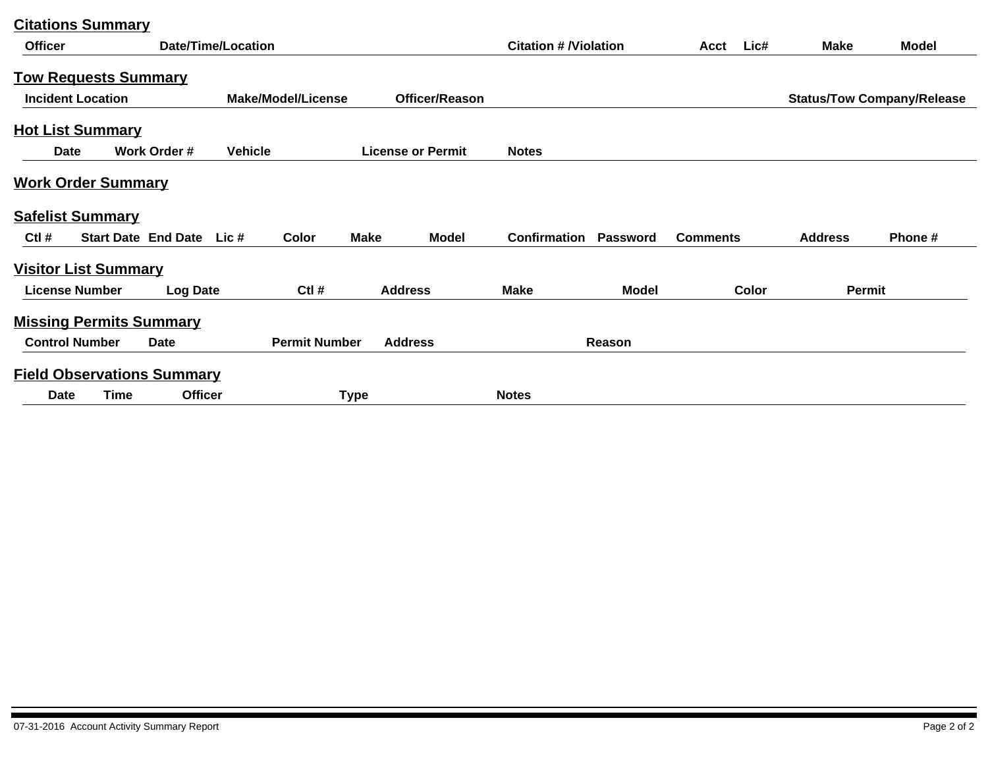| <b>Officer</b>              |                          |                                   | <b>Date/Time/Location</b> |                           |             |                          |                     | <b>Citation # /Violation</b> |                 |       | <b>Make</b>    | <b>Model</b>                      |
|-----------------------------|--------------------------|-----------------------------------|---------------------------|---------------------------|-------------|--------------------------|---------------------|------------------------------|-----------------|-------|----------------|-----------------------------------|
|                             |                          | <u>Tow Requests Summary</u>       |                           |                           |             |                          |                     |                              |                 |       |                |                                   |
|                             | <b>Incident Location</b> |                                   |                           | <b>Make/Model/License</b> |             | Officer/Reason           |                     |                              |                 |       |                | <b>Status/Tow Company/Release</b> |
| <b>Hot List Summary</b>     |                          |                                   |                           |                           |             |                          |                     |                              |                 |       |                |                                   |
| <b>Date</b>                 |                          | Work Order #                      | <b>Vehicle</b>            |                           |             | <b>License or Permit</b> | <b>Notes</b>        |                              |                 |       |                |                                   |
| <b>Work Order Summary</b>   |                          |                                   |                           |                           |             |                          |                     |                              |                 |       |                |                                   |
| <b>Safelist Summary</b>     |                          |                                   |                           |                           |             |                          |                     |                              |                 |       |                |                                   |
| $Ctl$ #                     |                          | <b>Start Date End Date</b>        | Lic #                     | Color                     | <b>Make</b> | <b>Model</b>             | <b>Confirmation</b> | Password                     | <b>Comments</b> |       | <b>Address</b> | Phone#                            |
| <b>Visitor List Summary</b> |                          |                                   |                           |                           |             |                          |                     |                              |                 |       |                |                                   |
|                             | <b>License Number</b>    | <b>Log Date</b>                   |                           | $Ctl$ #                   |             | <b>Address</b>           | <b>Make</b>         | <b>Model</b>                 |                 | Color | Permit         |                                   |
|                             |                          | <b>Missing Permits Summary</b>    |                           |                           |             |                          |                     |                              |                 |       |                |                                   |
|                             | <b>Control Number</b>    | Date                              |                           | <b>Permit Number</b>      |             | <b>Address</b>           |                     | Reason                       |                 |       |                |                                   |
|                             |                          | <b>Field Observations Summary</b> |                           |                           |             |                          |                     |                              |                 |       |                |                                   |
| <b>Date</b>                 | Time                     | <b>Officer</b>                    |                           |                           | <b>Type</b> |                          | <b>Notes</b>        |                              |                 |       |                |                                   |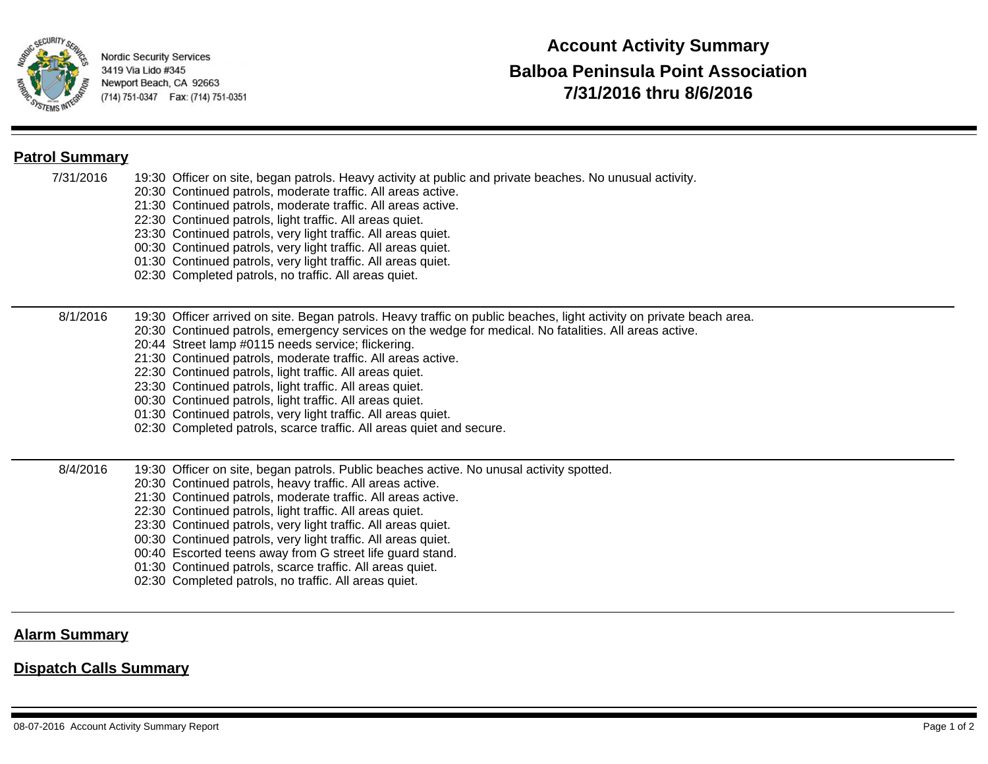

## **Patrol Summary**

- 7/31/2016 19:30 Officer on site, began patrols. Heavy activity at public and private beaches. No unusual activity.
	- 20:30 Continued patrols, moderate traffic. All areas active.
	- 21:30 Continued patrols, moderate traffic. All areas active.
	- 22:30 Continued patrols, light traffic. All areas quiet.
	- 23:30 Continued patrols, very light traffic. All areas quiet.
	- 00:30 Continued patrols, very light traffic. All areas quiet.
	- 01:30 Continued patrols, very light traffic. All areas quiet.
	- 02:30 Completed patrols, no traffic. All areas quiet.

#### 8/1/2016 19:30 Officer arrived on site. Began patrols. Heavy traffic on public beaches, light activity on private beach area.

- 20:30 Continued patrols, emergency services on the wedge for medical. No fatalities. All areas active.
	- 20:44 Street lamp #0115 needs service; flickering.
	- 21:30 Continued patrols, moderate traffic. All areas active.
	- 22:30 Continued patrols, light traffic. All areas quiet.
	- 23:30 Continued patrols, light traffic. All areas quiet.
	- 00:30 Continued patrols, light traffic. All areas quiet.
	- 01:30 Continued patrols, very light traffic. All areas quiet.
	- 02:30 Completed patrols, scarce traffic. All areas quiet and secure.
- 8/4/2016 19:30 Officer on site, began patrols. Public beaches active. No unusal activity spotted.
	- 20:30 Continued patrols, heavy traffic. All areas active.
	- 21:30 Continued patrols, moderate traffic. All areas active.
	- 22:30 Continued patrols, light traffic. All areas quiet.
	- 23:30 Continued patrols, very light traffic. All areas quiet.
	- 00:30 Continued patrols, very light traffic. All areas quiet.
	- 00:40 Escorted teens away from G street life guard stand.
	- 01:30 Continued patrols, scarce traffic. All areas quiet.
	- 02:30 Completed patrols, no traffic. All areas quiet.

## **Alarm Summary**

## **Dispatch Calls Summary**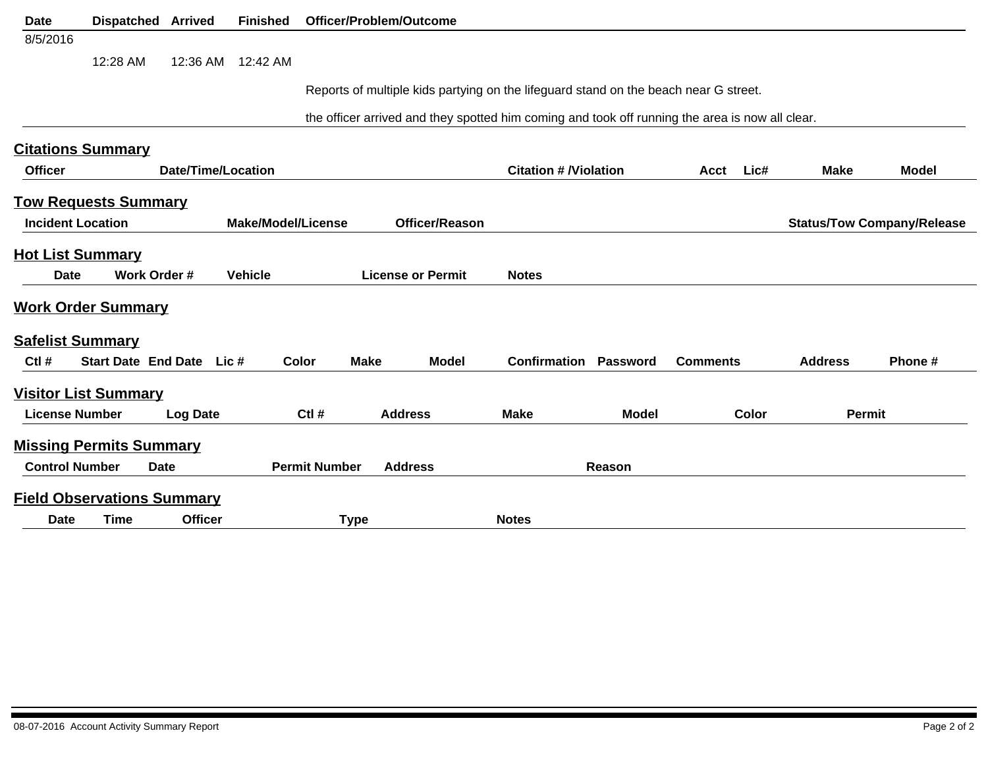| <b>Date</b>              | <b>Dispatched Arrived</b>         |                    | <b>Finished</b>           |                      | Officer/Problem/Outcome                                                                         |                              |              |                 |       |                |                                   |
|--------------------------|-----------------------------------|--------------------|---------------------------|----------------------|-------------------------------------------------------------------------------------------------|------------------------------|--------------|-----------------|-------|----------------|-----------------------------------|
| 8/5/2016                 |                                   |                    |                           |                      |                                                                                                 |                              |              |                 |       |                |                                   |
|                          | 12:28 AM                          | 12:36 AM           | 12:42 AM                  |                      |                                                                                                 |                              |              |                 |       |                |                                   |
|                          |                                   |                    |                           |                      | Reports of multiple kids partying on the lifeguard stand on the beach near G street.            |                              |              |                 |       |                |                                   |
|                          |                                   |                    |                           |                      |                                                                                                 |                              |              |                 |       |                |                                   |
|                          |                                   |                    |                           |                      | the officer arrived and they spotted him coming and took off running the area is now all clear. |                              |              |                 |       |                |                                   |
|                          | <b>Citations Summary</b>          |                    |                           |                      |                                                                                                 |                              |              |                 |       |                |                                   |
| <b>Officer</b>           |                                   | Date/Time/Location |                           |                      |                                                                                                 | <b>Citation # /Violation</b> |              | Acct            | Lic#  | <b>Make</b>    | <b>Model</b>                      |
|                          | <u>Tow Requests Summary</u>       |                    |                           |                      |                                                                                                 |                              |              |                 |       |                |                                   |
| <b>Incident Location</b> |                                   |                    | <b>Make/Model/License</b> |                      | Officer/Reason                                                                                  |                              |              |                 |       |                | <b>Status/Tow Company/Release</b> |
| <b>Hot List Summary</b>  |                                   |                    |                           |                      |                                                                                                 |                              |              |                 |       |                |                                   |
| Date                     |                                   | Work Order #       | <b>Vehicle</b>            |                      | <b>License or Permit</b>                                                                        | <b>Notes</b>                 |              |                 |       |                |                                   |
|                          |                                   |                    |                           |                      |                                                                                                 |                              |              |                 |       |                |                                   |
|                          | <b>Work Order Summary</b>         |                    |                           |                      |                                                                                                 |                              |              |                 |       |                |                                   |
| <b>Safelist Summary</b>  |                                   |                    |                           |                      |                                                                                                 |                              |              |                 |       |                |                                   |
| Ctl #                    | Start Date End Date Lic #         |                    |                           | Color                | <b>Make</b><br><b>Model</b>                                                                     | <b>Confirmation Password</b> |              | <b>Comments</b> |       | <b>Address</b> | Phone#                            |
|                          | <u>Visitor List Summary</u>       |                    |                           |                      |                                                                                                 |                              |              |                 |       |                |                                   |
| <b>License Number</b>    |                                   | <b>Log Date</b>    |                           | Ctl #                | <b>Address</b>                                                                                  | <b>Make</b>                  | <b>Model</b> |                 | Color | Permit         |                                   |
|                          | <b>Missing Permits Summary</b>    |                    |                           |                      |                                                                                                 |                              |              |                 |       |                |                                   |
| <b>Control Number</b>    |                                   | <b>Date</b>        |                           | <b>Permit Number</b> | <b>Address</b>                                                                                  |                              | Reason       |                 |       |                |                                   |
|                          |                                   |                    |                           |                      |                                                                                                 |                              |              |                 |       |                |                                   |
|                          | <b>Field Observations Summary</b> |                    |                           |                      |                                                                                                 |                              |              |                 |       |                |                                   |
| <b>Date</b>              | <b>Time</b>                       | <b>Officer</b>     |                           | <b>Type</b>          |                                                                                                 | <b>Notes</b>                 |              |                 |       |                |                                   |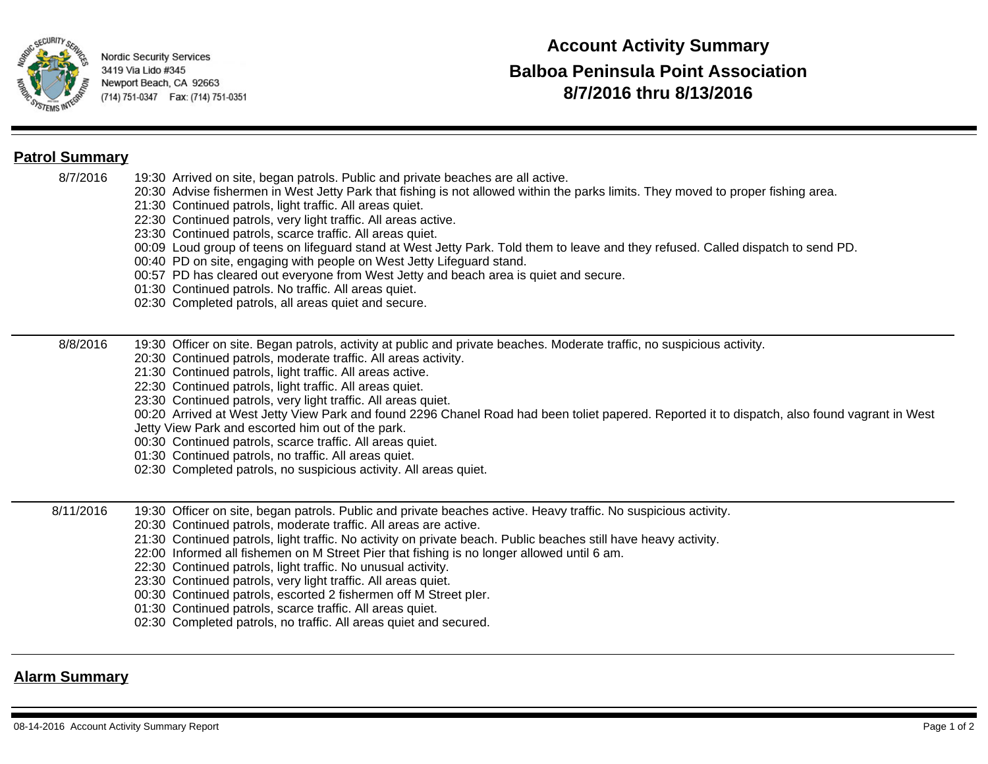

## **Patrol Summary**

- 8/7/2016 19:30 Arrived on site, began patrols. Public and private beaches are all active.
	- 20:30 Advise fishermen in West Jetty Park that fishing is not allowed within the parks limits. They moved to proper fishing area.
	- 21:30 Continued patrols, light traffic. All areas quiet.
	- 22:30 Continued patrols, very light traffic. All areas active.
	- 23:30 Continued patrols, scarce traffic. All areas quiet.
	- 00:09 Loud group of teens on lifeguard stand at West Jetty Park. Told them to leave and they refused. Called dispatch to send PD.
	- 00:40 PD on site, engaging with people on West Jetty Lifeguard stand.
	- 00:57 PD has cleared out everyone from West Jetty and beach area is quiet and secure.
	- 01:30 Continued patrols. No traffic. All areas quiet.
	- 02:30 Completed patrols, all areas quiet and secure.

#### 8/8/2016 19:30 Officer on site. Began patrols, activity at public and private beaches. Moderate traffic, no suspicious activity.

- 20:30 Continued patrols, moderate traffic. All areas activity.
- 21:30 Continued patrols, light traffic. All areas active.
- 22:30 Continued patrols, light traffic. All areas quiet.
- 23:30 Continued patrols, very light traffic. All areas quiet.
- 00:20 Arrived at West Jetty View Park and found 2296 Chanel Road had been toliet papered. Reported it to dispatch, also found vagrant in West
- Jetty View Park and escorted him out of the park.
- 00:30 Continued patrols, scarce traffic. All areas quiet.
- 01:30 Continued patrols, no traffic. All areas quiet.
- 02:30 Completed patrols, no suspicious activity. All areas quiet.
- 8/11/2016 19:30 Officer on site, began patrols. Public and private beaches active. Heavy traffic. No suspicious activity.
	- 20:30 Continued patrols, moderate traffic. All areas are active.
	- 21:30 Continued patrols, light traffic. No activity on private beach. Public beaches still have heavy activity.
	- 22:00 Informed all fishemen on M Street Pier that fishing is no longer allowed until 6 am.
	- 22:30 Continued patrols, light traffic. No unusual activity.
	- 23:30 Continued patrols, very light traffic. All areas quiet.
	- 00:30 Continued patrols, escorted 2 fishermen off M Street pIer.
	- 01:30 Continued patrols, scarce traffic. All areas quiet.
	- 02:30 Completed patrols, no traffic. All areas quiet and secured.

## **Alarm Summary**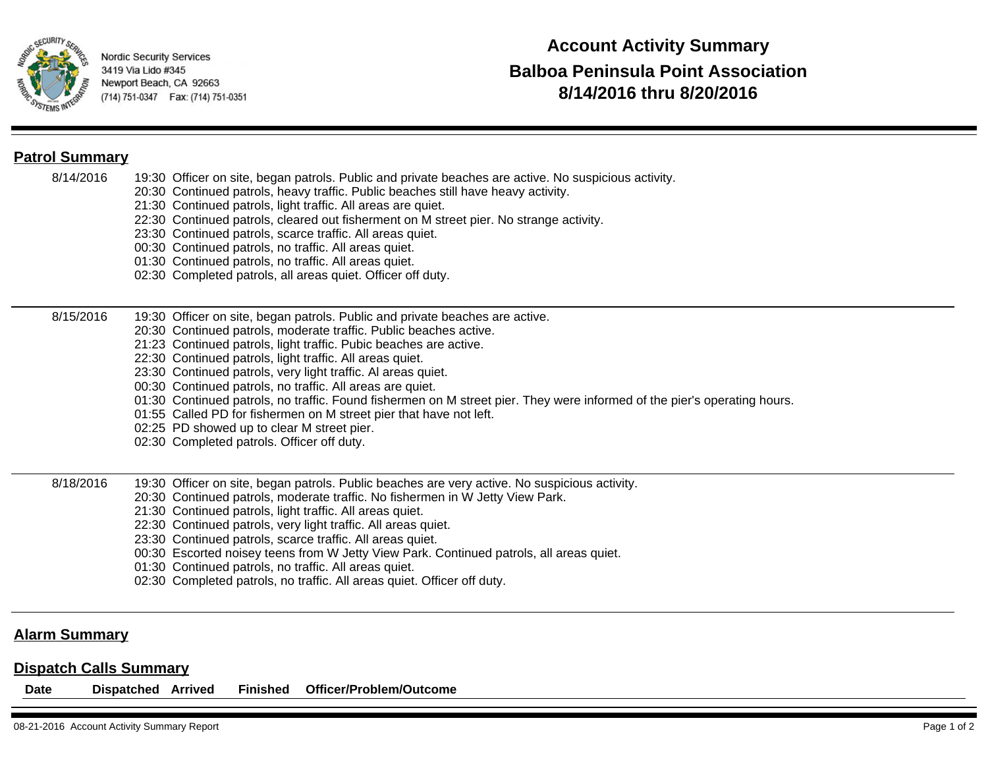

## **Patrol Summary**

- 8/14/2016 19:30 Officer on site, began patrols. Public and private beaches are active. No suspicious activity.
	- 20:30 Continued patrols, heavy traffic. Public beaches still have heavy activity.
	- 21:30 Continued patrols, light traffic. All areas are quiet.
	- 22:30 Continued patrols, cleared out fisherment on M street pier. No strange activity.
	- 23:30 Continued patrols, scarce traffic. All areas quiet.
	- 00:30 Continued patrols, no traffic. All areas quiet.
	- 01:30 Continued patrols, no traffic. All areas quiet.
	- 02:30 Completed patrols, all areas quiet. Officer off duty.

#### 8/15/2016 19:30 Officer on site, began patrols. Public and private beaches are active.

- 20:30 Continued patrols, moderate traffic. Public beaches active.
	- 21:23 Continued patrols, light traffic. Pubic beaches are active.
	- 22:30 Continued patrols, light traffic. All areas quiet.
	- 23:30 Continued patrols, very light traffic. Al areas quiet.
	- 00:30 Continued patrols, no traffic. All areas are quiet.
	- 01:30 Continued patrols, no traffic. Found fishermen on M street pier. They were informed of the pier's operating hours.
	- 01:55 Called PD for fishermen on M street pier that have not left.
	- 02:25 PD showed up to clear M street pier.
	- 02:30 Completed patrols. Officer off duty.

#### 8/18/2016 19:30 Officer on site, began patrols. Public beaches are very active. No suspicious activity.

- 20:30 Continued patrols, moderate traffic. No fishermen in W Jetty View Park.
- 21:30 Continued patrols, light traffic. All areas quiet.
- 22:30 Continued patrols, very light traffic. All areas quiet.
- 23:30 Continued patrols, scarce traffic. All areas quiet.
- 00:30 Escorted noisey teens from W Jetty View Park. Continued patrols, all areas quiet.
- 01:30 Continued patrols, no traffic. All areas quiet.
- 02:30 Completed patrols, no traffic. All areas quiet. Officer off duty.

### **Alarm Summary**

### **Dispatch Calls Summary**

**Date Dispatched Arrived Finished Officer/Problem/Outcome**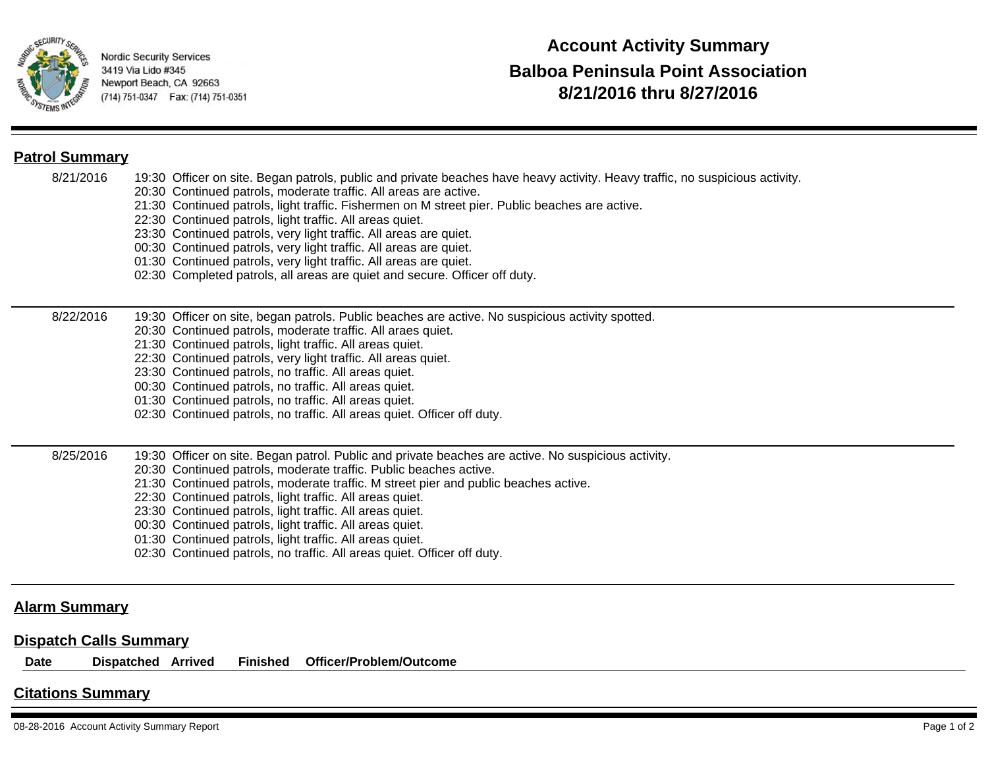

### **Patrol Summary**

- 8/21/2016 19:30 Officer on site. Began patrols, public and private beaches have heavy activity. Heavy traffic, no suspicious activity.
	- 20:30 Continued patrols, moderate traffic. All areas are active.
	- 21:30 Continued patrols, light traffic. Fishermen on M street pier. Public beaches are active.
	- 22:30 Continued patrols, light traffic. All areas quiet.
	- 23:30 Continued patrols, very light traffic. All areas are quiet.
	- 00:30 Continued patrols, very light traffic. All areas are quiet.
	- 01:30 Continued patrols, very light traffic. All areas are quiet.
	- 02:30 Completed patrols, all areas are quiet and secure. Officer off duty.

#### 8/22/2016 19:30 Officer on site, began patrols. Public beaches are active. No suspicious activity spotted.

- 20:30 Continued patrols, moderate traffic. All araes quiet.
- 21:30 Continued patrols, light traffic. All areas quiet.
- 22:30 Continued patrols, very light traffic. All areas quiet.
- 23:30 Continued patrols, no traffic. All areas quiet.
- 00:30 Continued patrols, no traffic. All areas quiet.
- 01:30 Continued patrols, no traffic. All areas quiet.
- 02:30 Continued patrols, no traffic. All areas quiet. Officer off duty.

#### 8/25/2016 19:30 Officer on site. Began patrol. Public and private beaches are active. No suspicious activity.

- 20:30 Continued patrols, moderate traffic. Public beaches active.
- 21:30 Continued patrols, moderate traffic. M street pier and public beaches active.
- 22:30 Continued patrols, light traffic. All areas quiet.
- 23:30 Continued patrols, light traffic. All areas quiet.
- 00:30 Continued patrols, light traffic. All areas quiet.
- 01:30 Continued patrols, light traffic. All areas quiet.
- 02:30 Continued patrols, no traffic. All areas quiet. Officer off duty.

### **Alarm Summary**

### **Dispatch Calls Summary**

**Date Dispatched Arrived Finished Officer/Problem/Outcome**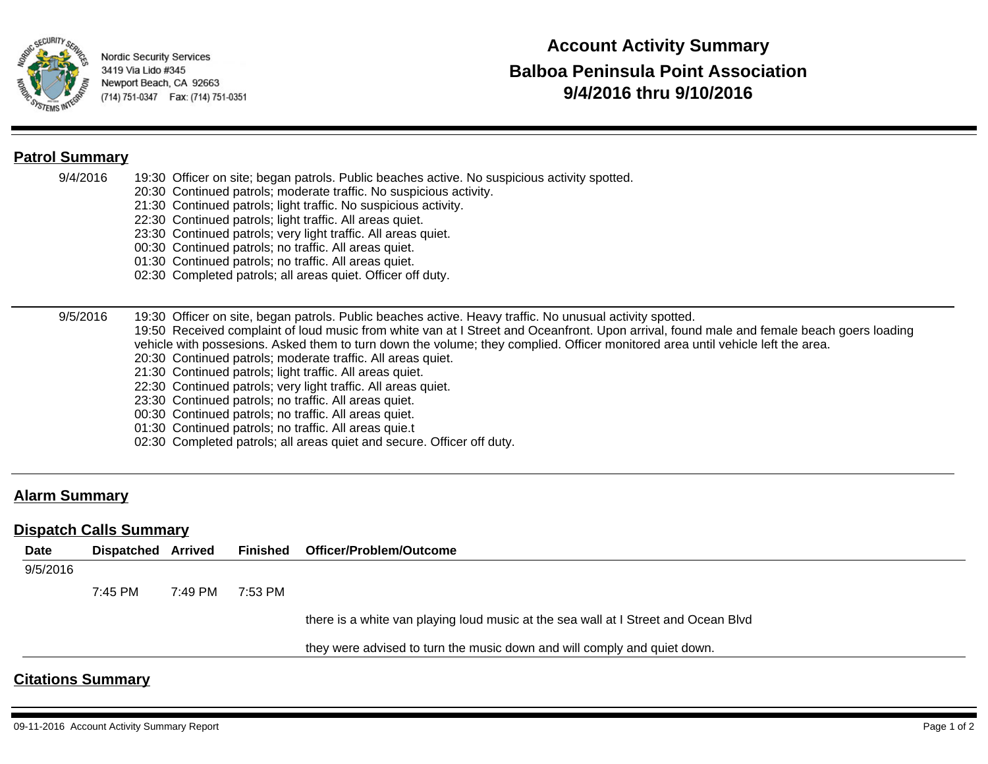

## **Patrol Summary**

- 9/4/2016 19:30 Officer on site; began patrols. Public beaches active. No suspicious activity spotted.
	- 20:30 Continued patrols; moderate traffic. No suspicious activity.
	- 21:30 Continued patrols; light traffic. No suspicious activity.
	- 22:30 Continued patrols; light traffic. All areas quiet.
	- 23:30 Continued patrols; very light traffic. All areas quiet.
	- 00:30 Continued patrols; no traffic. All areas quiet.
	- 01:30 Continued patrols; no traffic. All areas quiet.
	- 02:30 Completed patrols; all areas quiet. Officer off duty.

#### 9/5/2016 19:30 Officer on site, began patrols. Public beaches active. Heavy traffic. No unusual activity spotted. 19:50 Received complaint of loud music from white van at I Street and Oceanfront. Upon arrival, found male and female beach goers loading vehicle with possesions. Asked them to turn down the volume; they complied. Officer monitored area until vehicle left the area.

- 20:30 Continued patrols; moderate traffic. All areas quiet.
- 21:30 Continued patrols; light traffic. All areas quiet.
- 22:30 Continued patrols; very light traffic. All areas quiet.
- 23:30 Continued patrols; no traffic. All areas quiet.
- 00:30 Continued patrols; no traffic. All areas quiet.
- 01:30 Continued patrols; no traffic. All areas quie.t
- 02:30 Completed patrols; all areas quiet and secure. Officer off duty.

## **Alarm Summary**

### **Dispatch Calls Summary**

| <b>Date</b> | <b>Dispatched Arrived</b> |         | <b>Finished</b> | <b>Officer/Problem/Outcome</b>                                                     |
|-------------|---------------------------|---------|-----------------|------------------------------------------------------------------------------------|
| 9/5/2016    |                           |         |                 |                                                                                    |
|             | 7:45 PM                   | 7:49 PM | 7:53 PM         |                                                                                    |
|             |                           |         |                 | there is a white van playing loud music at the sea wall at I Street and Ocean Blvd |
|             |                           |         |                 | they were advised to turn the music down and will comply and quiet down.           |
|             | <b>Citations Summary</b>  |         |                 |                                                                                    |

#### 09-11-2016 Account Activity Summary Report **Page 1 of 2** not all the state of the page 1 of 2